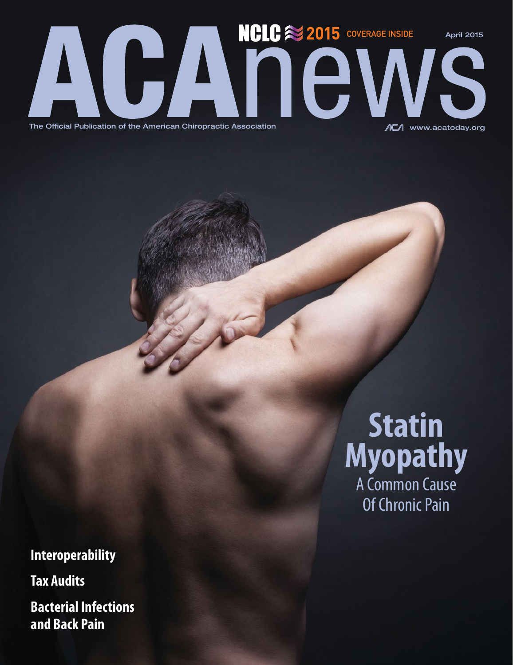

The Official Publication of the American Chiropractic Association

**Interoperability**

**Tax Audits**

**Bacterial Infections and Back Pain**

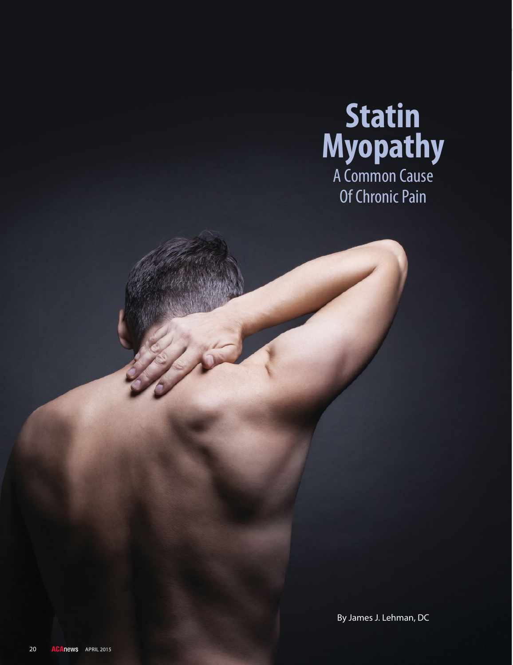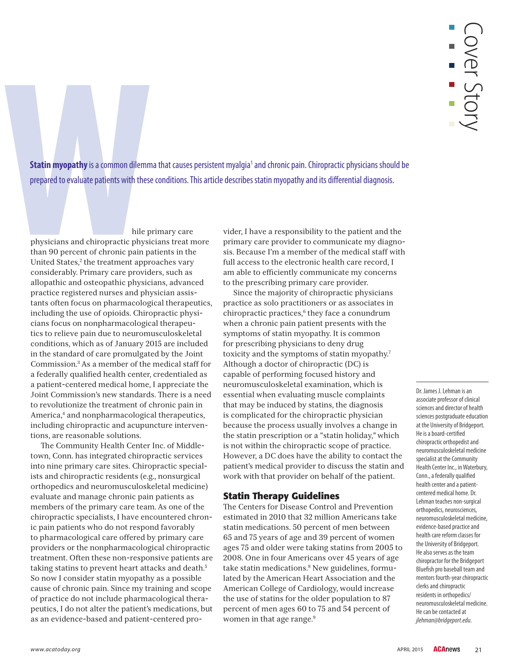**Statin myopathy** is a common dilemma that causes persistent myalgia<sup>1</sup> and chronic pain. Chiropractic physicians should be prepared to evaluate patients with these conditions. This article describes statin myopathy and its differential diagnosis.

hile primary care

physicians and chiropractic physicians treat more than 90 percent of chronic pain patients in the United States,<sup>2</sup> the treatment approaches vary considerably. Primary care providers, such as allopathic and osteopathic physicians, advanced practice registered nurses and physician assistants often focus on pharmacological therapeutics, including the use of opioids. Chiropractic physicians focus on nonpharmacological therapeutics to relieve pain due to neuromusculoskeletal conditions, which as of January 2015 are included in the standard of care promulgated by the Joint Commission.3 As a member of the medical staff for a federally qualified health center, credentialed as a patient-centered medical home, I appreciate the Joint Commission's new standards. There is a need to revolutionize the treatment of chronic pain in America,<sup>4</sup> and nonpharmacological therapeutics, including chiropractic and acupuncture interventions, are reasonable solutions.

The Community Health Center Inc. of Middletown, Conn. has integrated chiropractic services into nine primary care sites. Chiropractic specialists and chiropractic residents (e.g., nonsurgical orthopedics and neuromusculoskeletal medicine) evaluate and manage chronic pain patients as members of the primary care team. As one of the chiropractic specialists, I have encountered chronic pain patients who do not respond favorably to pharmacological care offered by primary care providers or the nonpharmacological chiropractic treatment. Often these non-responsive patients are taking statins to prevent heart attacks and death.<sup>5</sup> So now I consider statin myopathy as a possible cause of chronic pain. Since my training and scope of practice do not include pharmacological therapeutics, I do not alter the patient's medications, but as an evidence-based and patient-centered pro-

vider, I have a responsibility to the patient and the primary care provider to communicate my diagnosis. Because I'm a member of the medical staff with full access to the electronic health care record, I am able to efficiently communicate my concerns to the prescribing primary care provider.

Since the majority of chiropractic physicians practice as solo practitioners or as associates in chiropractic practices,<sup>6</sup> they face a conundrum when a chronic pain patient presents with the symptoms of statin myopathy. It is common for prescribing physicians to deny drug toxicity and the symptoms of statin myopathy.<sup>7</sup> Although a doctor of chiropractic (DC) is capable of performing focused history and neuromusculoskeletal examination, which is essential when evaluating muscle complaints that may be induced by statins, the diagnosis is complicated for the chiropractic physician because the process usually involves a change in the statin prescription or a "statin holiday," which is not within the chiropractic scope of practice. However, a DC does have the ability to contact the patient's medical provider to discuss the statin and work with that provider on behalf of the patient.

### **Statin Therapy Guidelines**

The Centers for Disease Control and Prevention estimated in 2010 that 32 million Americans take statin medications. 50 percent of men between 65 and 75 years of age and 39 percent of women ages 75 and older were taking statins from 2005 to 2008. One in four Americans over 45 years of age take statin medications.<sup>8</sup> New guidelines, formulated by the American Heart Association and the American College of Cardiology, would increase the use of statins for the older population to 87 percent of men ages 60 to 75 and 54 percent of women in that age range.<sup>9</sup>

Dr. James J. Lehman is an associate professor of clinical sciences and director of health sciences postgraduate education at the University of Bridgeport. He is a board-certified chiropractic orthopedist and neuromusculoskeletal medicine specialist at the Community Health Center Inc., in Waterbury, Conn., a federally qualified health center and a patientcentered medical home. Dr. Lehman teaches non-surgical orthopedics, neurosciences, neuromusculoskeletal medicine, evidence-based practice and health care reform classes for the University of Bridgeport. He also serves as the team chiropractor for the Bridgeport Bluefish pro baseball team and mentors fourth-year chiropractic clerks and chiropractic residents in orthopedics/ neuromusculoskeletal medicine. He can be contacted at jlehman@bridgeport.edu.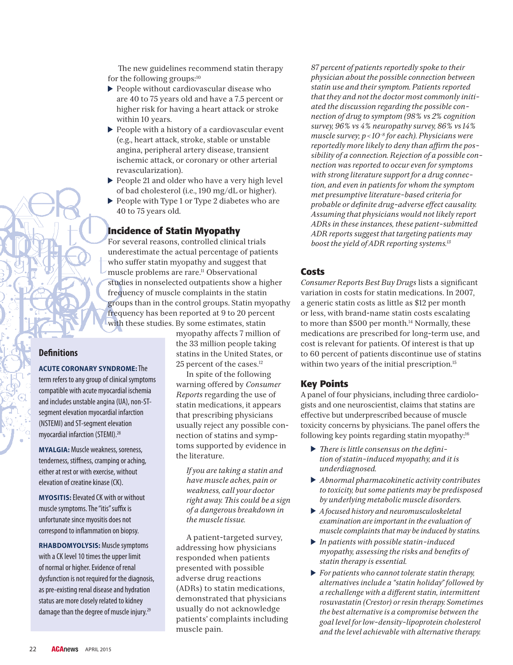The new guidelines recommend statin therapy for the following groups:<sup>10</sup>

- People without cardiovascular disease who are 40 to 75 years old and have a 7.5 percent or higher risk for having a heart attack or stroke within 10 years.
- People with a history of a cardiovascular event (e.g., heart attack, stroke, stable or unstable angina, peripheral artery disease, transient ischemic attack, or coronary or other arterial revascularization).
- ▶ People 21 and older who have a very high level of bad cholesterol (i.e., 190 mg/dL or higher).
- ▶ People with Type 1 or Type 2 diabetes who are 40 to 75 years old.

## **Incidence of Statin Myopathy**

For several reasons, controlled clinical trials underestimate the actual percentage of patients who suffer statin myopathy and suggest that muscle problems are rare.11 Observational studies in nonselected outpatients show a higher frequency of muscle complaints in the statin groups than in the control groups. Statin myopathy frequency has been reported at 9 to 20 percent with these studies. By some estimates, statin

myopathy affects 7 million of the 33 million people taking statins in the United States, or 25 percent of the cases.<sup>12</sup>

In spite of the following warning offered by *Consumer Reports* regarding the use of statin medications, it appears that prescribing physicians usually reject any possible connection of statins and symptoms supported by evidence in the literature.

 *If you are taking a statin and have muscle aches, pain or weakness, call your doctor right away. -is could be a sign of a dangerous breakdown in the muscle tissue.*

A patient-targeted survey, addressing how physicians responded when patients presented with possible adverse drug reactions (ADRs) to statin medications, demonstrated that physicians usually do not acknowledge patients' complaints including muscle pain.

 *87 percent of patients reportedly spoke to their physician about the possible connection between statin use and their symptom. Patients reported that they and not the doctor most commonly initiated the discussion regarding the possible connection of drug to symptom (98% vs 2% cognition survey, 96% vs 4% neuropathy survey, 86% vs 14% muscle survey; p < 10−8 for each). Physicians were reportedly more likely to deny than affirm the possibility of a connection. Rejection of a possible connection was reported to occur even for symptoms with strong literature support for a drug connection, and even in patients for whom the symptom met presumptive literature-based criteria for probable or definite drug-adverse effect causality. Assuming that physicians would not likely report ADRs in these instances, these patient-submitted ADR reports suggest that targeting patients may boost the yield of ADR reporting systems.13*

### **Costs**

*Consumer Reports Best Buy Drugs* lists a significant variation in costs for statin medications. In 2007, a generic statin costs as little as \$12 per month or less, with brand-name statin costs escalating to more than \$500 per month.<sup>14</sup> Normally, these medications are prescribed for long-term use, and cost is relevant for patients. Of interest is that up to 60 percent of patients discontinue use of statins within two years of the initial prescription.<sup>15</sup>

### **Key Points**

A panel of four physicians, including three cardiologists and one neuroscientist, claims that statins are effective but underprescribed because of muscle toxicity concerns by physicians. The panel offers the following key points regarding statin myopathy:<sup>16</sup>

- *-ere is little consensus on the definition of statin-induced myopathy, and it is underdiagnosed.*
- *Abnormal pharmacokinetic activity contributes to toxicity, but some patients may be predisposed by underlying metabolic muscle disorders.*
- *A focused history and neuromusculoskeletal examination are important in the evaluation of muscle complaints that may be induced by statins.*
- *In patients with possible statin-induced myopathy, assessing the risks and benefits of statin therapy is essential.*
- *For patients who cannot tolerate statin therapy, alternatives include a "statin holiday" followed by a rechallenge with a different statin, intermittent rosuvastatin (Crestor) or resin therapy. Sometimes the best alternative is a compromise between the goal level for low-density-lipoprotein cholesterol and the level achievable with alternative therapy.*

## **Definitions**

### **ACUTE CORONARY SYNDROME:** The

term refers to any group of clinical symptoms compatible with acute myocardial ischemia and includes unstable angina (UA), non-STsegment elevation myocardial infarction (NSTEMI) and ST-segment elevation myocardial infarction (STEMI).28

**MYALGIA:** Muscle weakness, soreness, tenderness, stiffness, cramping or aching, either at rest or with exercise, without elevation of creatine kinase (CK).

**MYOSITIS:** Elevated CK with or without muscle symptoms. The "itis" suffix is unfortunate since myositis does not correspond to inflammation on biopsy.

**RHABDOMYOLYSIS:** Muscle symptoms with a CK level 10 times the upper limit of normal or higher. Evidence of renal dysfunction is not required for the diagnosis, as pre-existing renal disease and hydration status are more closely related to kidney damage than the degree of muscle injury.29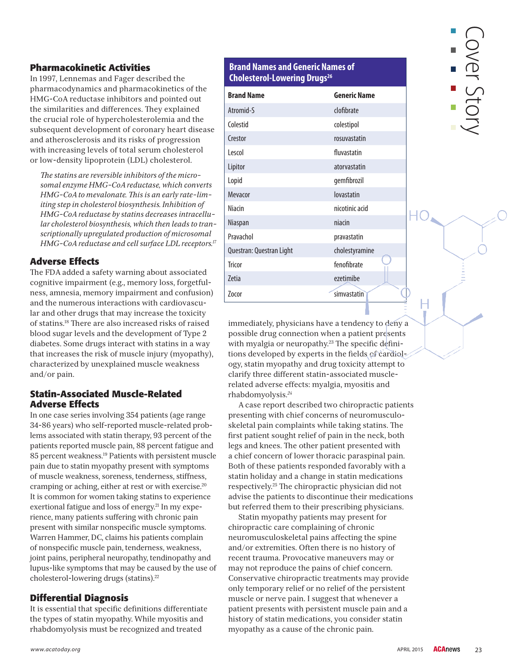### **Pharmacokinetic Activities**

In 1997, Lennemas and Fager described the pharmacodynamics and pharmacokinetics of the HMG-CoA reductase inhibitors and pointed out the similarities and differences. They explained the crucial role of hypercholesterolemia and the subsequent development of coronary heart disease and atherosclerosis and its risks of progression with increasing levels of total serum cholesterol or low-density lipoprotein (LDL) cholesterol.

 *-e statins are reversible inhibitors of the microsomal enzyme HMG-CoA reductase, which converts HMG-CoA to mevalonate. -is is an early rate-limiting step in cholesterol biosynthesis. Inhibition of HMG-CoA reductase by statins decreases intracellular cholesterol biosynthesis, which then leads to transcriptionally upregulated production of microsomal HMG-CoA reductase and cell surface LDL receptors.17*

# **Adverse Effects**

-e FDA added a safety warning about associated cognitive impairment (e.g., memory loss, forgetfulness, amnesia, memory impairment and confusion) and the numerous interactions with cardiovascular and other drugs that may increase the toxicity of statins.<sup>18</sup> There are also increased risks of raised blood sugar levels and the development of Type 2 diabetes. Some drugs interact with statins in a way that increases the risk of muscle injury (myopathy), characterized by unexplained muscle weakness and/or pain.

### **Statin-Associated Muscle-Related Adverse Effects**

In one case series involving 354 patients (age range 34-86 years) who self-reported muscle-related problems associated with statin therapy, 93 percent of the patients reported muscle pain, 88 percent fatigue and 85 percent weakness.19 Patients with persistent muscle pain due to statin myopathy present with symptoms of muscle weakness, soreness, tenderness, stiffness, cramping or aching, either at rest or with exercise.20 It is common for women taking statins to experience exertional fatigue and loss of energy.<sup>21</sup> In my experience, many patients suffering with chronic pain present with similar nonspecific muscle symptoms. Warren Hammer, DC, claims his patients complain of nonspecific muscle pain, tenderness, weakness, joint pains, peripheral neuropathy, tendinopathy and lupus-like symptoms that may be caused by the use of cholesterol-lowering drugs (statins).22

## **Differential Diagnosis**

It is essential that specific definitions differentiate the types of statin myopathy. While myositis and rhabdomyolysis must be recognized and treated

### **Brand Names and Generic Names of Cholesterol-Lowering Drugs<sup>26</sup>**

| <b>Brand Name</b>        | <b>Generic Name</b> |
|--------------------------|---------------------|
| Atromid-S                | clofibrate          |
| Colestid                 | colestipol          |
| Crestor                  | rosuvastatin        |
| Lescol                   | fluvastatin         |
| Lipitor                  | atorvastatin        |
| Lopid                    | gemfibrozil         |
| Mevacor                  | lovastatin          |
| <b>Niacin</b>            | nicotinic acid      |
| <b>Niaspan</b>           | niacin              |
| Pravachol                | pravastatin         |
| Questran: Questran Light | cholestyramine      |
| Tricor                   | fenofibrate         |
| <b>Zetia</b>             | ezetimibe           |
| Zocor                    | simvastatin         |

# over Stor

immediately, physicians have a tendency to deny a possible drug connection when a patient presents with myalgia or neuropathy.<sup>23</sup> The specific definitions developed by experts in the fields of cardiology, statin myopathy and drug toxicity attempt to clarify three different statin-associated musclerelated adverse effects: myalgia, myositis and rhabdomyolysis.*<sup>24</sup>*

A case report described two chiropractic patients presenting with chief concerns of neuromusculoskeletal pain complaints while taking statins. The first patient sought relief of pain in the neck, both legs and knees. The other patient presented with a chief concern of lower thoracic paraspinal pain. Both of these patients responded favorably with a statin holiday and a change in statin medications respectively.<sup>25</sup> The chiropractic physician did not advise the patients to discontinue their medications but referred them to their prescribing physicians.

Statin myopathy patients may present for chiropractic care complaining of chronic neuromusculoskeletal pains affecting the spine and/or extremities. Often there is no history of recent trauma. Provocative maneuvers may or may not reproduce the pains of chief concern. Conservative chiropractic treatments may provide only temporary relief or no relief of the persistent muscle or nerve pain. I suggest that whenever a patient presents with persistent muscle pain and a history of statin medications, you consider statin myopathy as a cause of the chronic pain.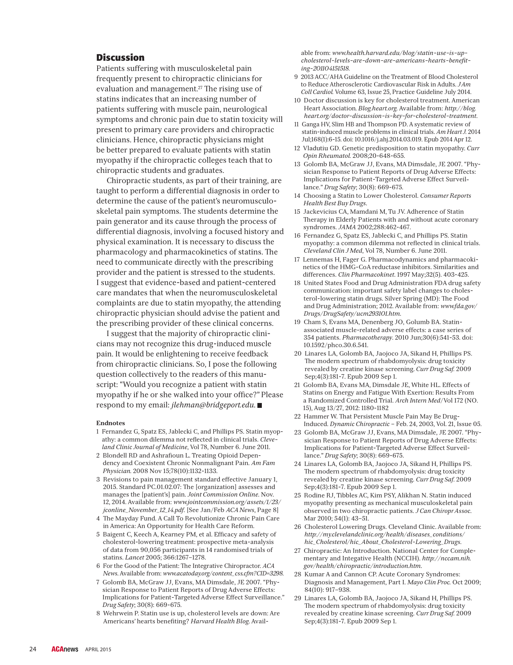### **Discussion**

Patients suffering with musculoskeletal pain frequently present to chiropractic clinicians for evaluation and management. $^{27}$  The rising use of statins indicates that an increasing number of patients suffering with muscle pain, neurological symptoms and chronic pain due to statin toxicity will present to primary care providers and chiropractic clinicians. Hence, chiropractic physicians might be better prepared to evaluate patients with statin myopathy if the chiropractic colleges teach that to chiropractic students and graduates.

Chiropractic students, as part of their training, are taught to perform a differential diagnosis in order to determine the cause of the patient's neuromusculoskeletal pain symptoms. The students determine the pain generator and its cause through the process of differential diagnosis, involving a focused history and physical examination. It is necessary to discuss the pharmacology and pharmacokinetics of statins. The need to communicate directly with the prescribing provider and the patient is stressed to the students. I suggest that evidence-based and patient-centered care mandates that when the neuromusculoskeletal complaints are due to statin myopathy, the attending chiropractic physician should advise the patient and the prescribing provider of these clinical concerns.

I suggest that the majority of chiropractic clinicians may not recognize this drug-induced muscle pain. It would be enlightening to receive feedback from chiropractic clinicians. So, I pose the following question collectively to the readers of this manuscript: "Would you recognize a patient with statin myopathy if he or she walked into your office?" Please respond to my email: *jlehman@bridgeport.edu*.

### **Endnotes**

- 1 Fernandez G, Spatz ES, Jablecki C, and Phillips PS. Statin myopathy: a common dilemma not reflected in clinical trials. *Cleveland Clinic Journal of Medicine*, Vol 78, Number 6. June 2011.
- 2 Blondell RD and Ashrafioun L. Treating Opioid Dependency and Coexistent Chronic Nonmalignant Pain. *Am Fam Physician.* 2008 Nov 15;78(10):1132-1133.
- 3 Revisions to pain management standard effective January 1, 2015. Standard PC.01.02.07: The [organization] assesses and manages the [patient's] pain. *Joint Commission Online*. Nov. 12, 2014. Available from: *www.jointcommission.org/assets/1/23/ jconline\_November\_12\_14.pdf*. [See Jan/Feb *ACA News*, Page 8]
- 4 The Mayday Fund. A Call To Revolutionize Chronic Pain Care in America: An Opportunity for Health Care Reform.
- 5 Baigent C, Keech A, Kearney PM, et al. Efficacy and safety of cholesterol-lowering treatment: prospective meta-analysis of data from 90,056 participants in 14 randomised trials of statins. *Lancet* 2005; 366:1267–1278.
- 6 For the Good of the Patient: The Integrative Chiropractor. *ACA News*. Available from: *www.acatoday.org/content\_css.cfm?CID=3298.*
- 7 Golomb BA, McGraw JJ, Evans, MA Dimsdale, JE 2007. "Physician Response to Patient Reports of Drug Adverse Effects: Implications for Patient-Targeted Adverse Effect Surveillance." *Drug Safety*; 30(8): 669-675.
- 8 Wehrwein P. Statin use is up, cholesterol levels are down: Are Americans' hearts benefiting? *Harvard Health Blog*. Avail-

able from: *www.health.harvard.edu/blog/statin-use-is-upcholesterol-levels-are-down-are-americans-hearts-benefiting-201104151518.*

- 9 2013 ACC/AHA Guideline on the Treatment of Blood Cholesterol to Reduce Atherosclerotic Cardiovascular Risk in Adults. *J Am Coll Cardiol.* Volume 63, Issue 25, Practice Guideline July 2014.
- 10 Doctor discussion is key for cholesterol treatment. American Heart Association*. Blog.heart.org.* Available from: *http://blog. heart.org/doctor-discussion-is-key-for-cholesterol-treatment*.
- 11 Ganga HV, Slim HB and Thompson PD. A systematic review of statin-induced muscle problems in clinical trials. *Am Heart J.* 2014 Jul;168(1):6-15. doi: 10.1016/j.ahj.2014.03.019. Epub 2014 Apr 12.
- 12 Vladutiu GD. Genetic predisposition to statin myopathy. *Curr Opin Rheumatol.* 2008;20-648-655.
- 13 Golomb BA, McGraw JJ, Evans, MA Dimsdale, JE 2007. "Physician Response to Patient Reports of Drug Adverse Effects: Implications for Patient-Targeted Adverse Effect Surveillance." *Drug Safety*; 30(8): 669-675.
- 14 Choosing a Statin to Lower Cholesterol. *Consumer Reports Health Best Buy Drugs*.
- 15 Jackevicius CA, Mamdani M, Tu JV. Adherence of Statin Therapy in Elderly Patients with and without acute coronary syndromes. *JAMA* 2002;288:462-467.
- 16 Fernandez G, Spatz ES, Jablecki C, and Phillips PS. Statin myopathy: a common dilemma not reflected in clinical trials. *Cleveland Clin J Med*, Vol 78, Number 6. June 2011.
- 17 Lennemas H, Fager G. Pharmacodynamics and pharmacokinetics of the HMG-CoA reductase inhibitors. Similarities and differences. *Clin Pharmacokinet*. 1997 May;32(5). 403-425.
- 18 United States Food and Drug Administration FDA drug safety communication: important safety label changes to cholesterol-lowering statin drugs. Silver Spring (MD): The Food and Drug Administration; 2012. Available from: *www.fda.gov/ Drugs/DrugSafety/ucm293101.htm*.
- 19 Cham S, Evans MA, Denenberg JO, Golumb BA. Statinassociated muscle-related adverse effects: a case series of 354 patients. *Pharmacotherapy*. 2010 Jun;30(6):541-53. doi: 10.1592/phco.30.6.541.
- 20 Linares LA, Golomb BA, Jaojoco JA, Sikand H, Phillips PS. The modern spectrum of rhabdomyolysis: drug toxicity revealed by creatine kinase screening. *Curr Drug Saf.* 2009 Sep;4(3):181-7. Epub 2009 Sep 1.
- 21 Golomb BA, Evans MA, Dimsdale JE, White HL. Effects of Statins on Energy and Fatigue With Exertion: Results From a Randomized Controlled Trial. *Arch Intern Med*/Vol 172 (NO. 15), Aug 13/27, 2012: 1180-1182
- 22 Hammer W. That Persistent Muscle Pain May Be Drug-Induced. *Dynamic Chiropractic* – Feb. 24, 2003, Vol. 21, Issue 05.
- 23 Golomb BA, McGraw JJ, Evans, MA Dimsdale, JE 2007. "Physician Response to Patient Reports of Drug Adverse Effects: Implications for Patient-Targeted Adverse Effect Surveillance." *Drug Safety*; 30(8): 669-675.
- 24 Linares LA, Golomb BA, Jaojoco JA, Sikand H, Phillips PS. The modern spectrum of rhabdomyolysis: drug toxicity revealed by creatine kinase screening. *Curr Drug Saf*. 2009 Sep;4(3):181-7. Epub 2009 Sep 1.
- 25 Rodine RJ, Tibbles AC, Kim PSY, Alikhan N. Statin induced myopathy presenting as mechanical musculoskeletal pain observed in two chiropractic patients. *J Can Chiropr Assoc*. Mar 2010; 54(1): 43–51.
- 26 Cholesterol Lowering Drugs. Cleveland Clinic. Available from: *http://my.clevelandclinic.org/health/diseases\_conditions/ hic\_Cholesterol/hic\_About\_Cholesterol-Lowering\_Drugs*.
- 27 Chiropractic: An Introduction. National Center for Complementary and Integative Health (NCCIH). *http://nccam.nih. gov/health/chiropractic/introduction.htm*.
- 28 Kumar A and Cannon CP. Acute Coronary Syndromes: Diagnosis and Management, Part I. *Mayo Clin Proc.* Oct 2009; 84(10): 917–938.
- 29 Linares LA, Golomb BA, Jaojoco JA, Sikand H, Phillips PS. The modern spectrum of rhabdomyolysis: drug toxicity revealed by creatine kinase screening. *Curr Drug Saf.* 2009 Sep;4(3):181-7. Epub 2009 Sep 1.